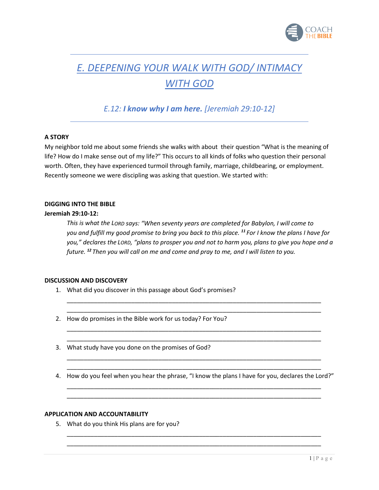

# *E. DEEPENING YOUR WALK WITH GOD/ INTIMACY WITH GOD*

*E.12: I know why I am here. [Jeremiah 29:10-12]*

## **A STORY**

My neighbor told me about some friends she walks with about their question "What is the meaning of life? How do I make sense out of my life?" This occurs to all kinds of folks who question their personal worth. Often, they have experienced turmoil through family, marriage, childbearing, or employment. Recently someone we were discipling was asking that question. We started with:

### **DIGGING INTO THE BIBLE**

### **Jeremiah 29:10-12:**

*This is what the LORD says: "When seventy years are completed for Babylon, I will come to you and fulfill my good promise to bring you back to this place. <sup>11</sup> For I know the plans I have for you," declares the LORD, "plans to prosper you and not to harm you, plans to give you hope and a future. <sup>12</sup> Then you will call on me and come and pray to me, and I will listen to you.*

### **DISCUSSION AND DISCOVERY**

- 1. What did you discover in this passage about God's promises?
- 2. How do promises in the Bible work for us today? For You?
- 3. What study have you done on the promises of God?
- \_\_\_\_\_\_\_\_\_\_\_\_\_\_\_\_\_\_\_\_\_\_\_\_\_\_\_\_\_\_\_\_\_\_\_\_\_\_\_\_\_\_\_\_\_\_\_\_\_\_\_\_\_\_\_\_\_\_\_\_\_\_\_\_\_\_\_\_\_\_\_\_\_\_\_ 4. How do you feel when you hear the phrase, "I know the plans I have for you, declares the Lord?" \_\_\_\_\_\_\_\_\_\_\_\_\_\_\_\_\_\_\_\_\_\_\_\_\_\_\_\_\_\_\_\_\_\_\_\_\_\_\_\_\_\_\_\_\_\_\_\_\_\_\_\_\_\_\_\_\_\_\_\_\_\_\_\_\_\_\_\_\_\_\_\_\_\_\_

\_\_\_\_\_\_\_\_\_\_\_\_\_\_\_\_\_\_\_\_\_\_\_\_\_\_\_\_\_\_\_\_\_\_\_\_\_\_\_\_\_\_\_\_\_\_\_\_\_\_\_\_\_\_\_\_\_\_\_\_\_\_\_\_\_\_\_\_\_\_\_\_\_\_\_

\_\_\_\_\_\_\_\_\_\_\_\_\_\_\_\_\_\_\_\_\_\_\_\_\_\_\_\_\_\_\_\_\_\_\_\_\_\_\_\_\_\_\_\_\_\_\_\_\_\_\_\_\_\_\_\_\_\_\_\_\_\_\_\_\_\_\_\_\_\_\_\_\_\_\_ \_\_\_\_\_\_\_\_\_\_\_\_\_\_\_\_\_\_\_\_\_\_\_\_\_\_\_\_\_\_\_\_\_\_\_\_\_\_\_\_\_\_\_\_\_\_\_\_\_\_\_\_\_\_\_\_\_\_\_\_\_\_\_\_\_\_\_\_\_\_\_\_\_\_\_

\_\_\_\_\_\_\_\_\_\_\_\_\_\_\_\_\_\_\_\_\_\_\_\_\_\_\_\_\_\_\_\_\_\_\_\_\_\_\_\_\_\_\_\_\_\_\_\_\_\_\_\_\_\_\_\_\_\_\_\_\_\_\_\_\_\_\_\_\_\_\_\_\_\_\_

\_\_\_\_\_\_\_\_\_\_\_\_\_\_\_\_\_\_\_\_\_\_\_\_\_\_\_\_\_\_\_\_\_\_\_\_\_\_\_\_\_\_\_\_\_\_\_\_\_\_\_\_\_\_\_\_\_\_\_\_\_\_\_\_\_\_\_\_\_\_\_\_\_\_\_ \_\_\_\_\_\_\_\_\_\_\_\_\_\_\_\_\_\_\_\_\_\_\_\_\_\_\_\_\_\_\_\_\_\_\_\_\_\_\_\_\_\_\_\_\_\_\_\_\_\_\_\_\_\_\_\_\_\_\_\_\_\_\_\_\_\_\_\_\_\_\_\_\_\_\_

\_\_\_\_\_\_\_\_\_\_\_\_\_\_\_\_\_\_\_\_\_\_\_\_\_\_\_\_\_\_\_\_\_\_\_\_\_\_\_\_\_\_\_\_\_\_\_\_\_\_\_\_\_\_\_\_\_\_\_\_\_\_\_\_\_\_\_\_\_\_\_\_\_\_\_ \_\_\_\_\_\_\_\_\_\_\_\_\_\_\_\_\_\_\_\_\_\_\_\_\_\_\_\_\_\_\_\_\_\_\_\_\_\_\_\_\_\_\_\_\_\_\_\_\_\_\_\_\_\_\_\_\_\_\_\_\_\_\_\_\_\_\_\_\_\_\_\_\_\_\_

#### **APPLICATION AND ACCOUNTABILITY**

5. What do you think His plans are for you?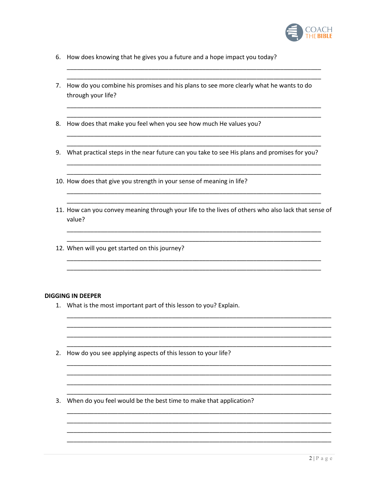

- 6. How does knowing that he gives you a future and a hope impact you today?
- 7. How do you combine his promises and his plans to see more clearly what he wants to do through your life?
- 8. How does that make you feel when you see how much He values you?
- 9. What practical steps in the near future can you take to see His plans and promises for you?
- 10. How does that give you strength in your sense of meaning in life?
- 11. How can you convey meaning through your life to the lives of others who also lack that sense of value?
- 12. When will you get started on this journey?

#### **DIGGING IN DEEPER**

- 1. What is the most important part of this lesson to you? Explain.
- 2. How do you see applying aspects of this lesson to your life?
- 3. When do you feel would be the best time to make that application?